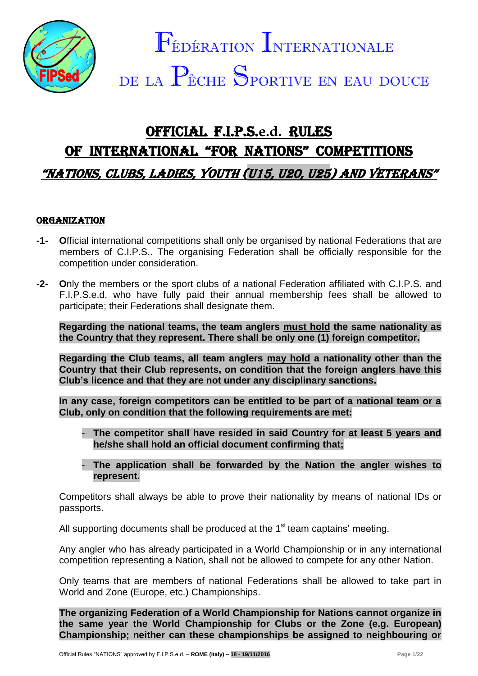

# OFFICIAL F.I.P.S.**e.d.** RULES OF INTERNATIONAL "FOR NATIONS" COMPETITIONS "NATIONS, CLUBS, LADIES, Youth (U15, U20, U25) AND veterans"

## **ORGANIZATION**

- **-1- O**fficial international competitions shall only be organised by national Federations that are members of C.I.P.S.. The organising Federation shall be officially responsible for the competition under consideration.
- **-2- O**nly the members or the sport clubs of a national Federation affiliated with C.I.P.S. and F.I.P.S.e.d. who have fully paid their annual membership fees shall be allowed to participate; their Federations shall designate them.

**Regarding the national teams, the team anglers must hold the same nationality as the Country that they represent. There shall be only one (1) foreign competitor.**

**Regarding the Club teams, all team anglers may hold a nationality other than the Country that their Club represents, on condition that the foreign anglers have this Club's licence and that they are not under any disciplinary sanctions.**

**In any case, foreign competitors can be entitled to be part of a national team or a Club, only on condition that the following requirements are met:**

- The competitor shall have resided in said Country for at least 5 years and **he/she shall hold an official document confirming that;**
- **The application shall be forwarded by the Nation the angler wishes to represent.**

Competitors shall always be able to prove their nationality by means of national IDs or passports.

All supporting documents shall be produced at the  $1<sup>st</sup>$  team captains' meeting.

Any angler who has already participated in a World Championship or in any international competition representing a Nation, shall not be allowed to compete for any other Nation.

Only teams that are members of national Federations shall be allowed to take part in World and Zone (Europe, etc.) Championships.

**The organizing Federation of a World Championship for Nations cannot organize in the same year the World Championship for Clubs or the Zone (e.g. European) Championship; neither can these championships be assigned to neighbouring or**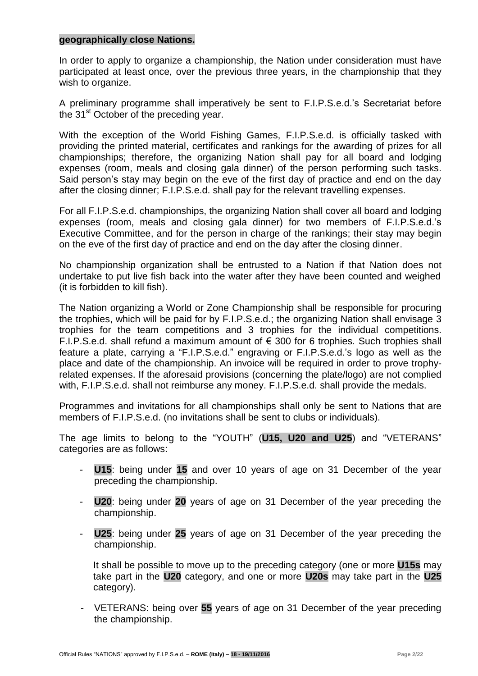### **geographically close Nations.**

In order to apply to organize a championship, the Nation under consideration must have participated at least once, over the previous three years, in the championship that they wish to organize.

A preliminary programme shall imperatively be sent to F.I.P.S.e.d.'s Secretariat before the 31<sup>st</sup> October of the preceding year.

With the exception of the World Fishing Games, F.I.P.S.e.d. is officially tasked with providing the printed material, certificates and rankings for the awarding of prizes for all championships; therefore, the organizing Nation shall pay for all board and lodging expenses (room, meals and closing gala dinner) of the person performing such tasks. Said person's stay may begin on the eve of the first day of practice and end on the day after the closing dinner; F.I.P.S.e.d. shall pay for the relevant travelling expenses.

For all F.I.P.S.e.d. championships, the organizing Nation shall cover all board and lodging expenses (room, meals and closing gala dinner) for two members of F.I.P.S.e.d.'s Executive Committee, and for the person in charge of the rankings; their stay may begin on the eve of the first day of practice and end on the day after the closing dinner.

No championship organization shall be entrusted to a Nation if that Nation does not undertake to put live fish back into the water after they have been counted and weighed (it is forbidden to kill fish).

The Nation organizing a World or Zone Championship shall be responsible for procuring the trophies, which will be paid for by F.I.P.S.e.d.; the organizing Nation shall envisage 3 trophies for the team competitions and 3 trophies for the individual competitions. F.I.P.S.e.d. shall refund a maximum amount of  $\epsilon$  300 for 6 trophies. Such trophies shall feature a plate, carrying a "F.I.P.S.e.d." engraving or F.I.P.S.e.d.'s logo as well as the place and date of the championship. An invoice will be required in order to prove trophyrelated expenses. If the aforesaid provisions (concerning the plate/logo) are not complied with, F.I.P.S.e.d. shall not reimburse any money. F.I.P.S.e.d. shall provide the medals.

Programmes and invitations for all championships shall only be sent to Nations that are members of F.I.P.S.e.d. (no invitations shall be sent to clubs or individuals).

The age limits to belong to the "YOUTH" (**U15, U20 and U25**) and "VETERANS" categories are as follows:

- **U15**: being under **15** and over 10 years of age on 31 December of the year preceding the championship.
- **U20**: being under **20** years of age on 31 December of the year preceding the championship.
- **U25**: being under **25** years of age on 31 December of the year preceding the championship.

It shall be possible to move up to the preceding category (one or more **U15s** may take part in the **U20** category, and one or more **U20s** may take part in the **U25** category).

- VETERANS: being over **55** years of age on 31 December of the year preceding the championship.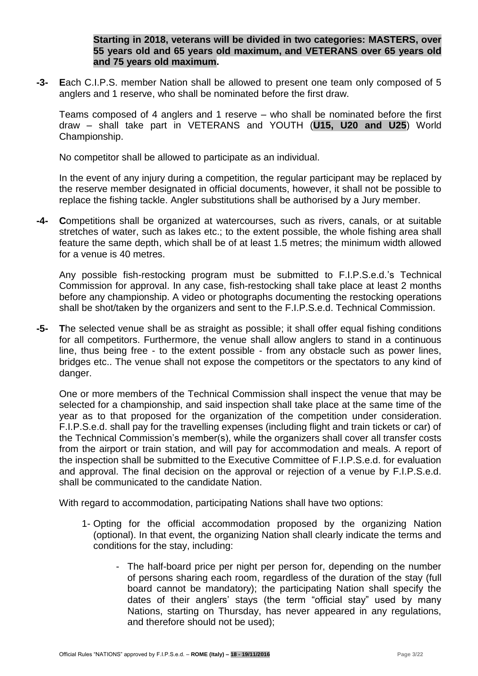**Starting in 2018, veterans will be divided in two categories: MASTERS, over 55 years old and 65 years old maximum, and VETERANS over 65 years old and 75 years old maximum.**

**-3- E**ach C.I.P.S. member Nation shall be allowed to present one team only composed of 5 anglers and 1 reserve, who shall be nominated before the first draw.

Teams composed of 4 anglers and 1 reserve – who shall be nominated before the first draw – shall take part in VETERANS and YOUTH (**U15, U20 and U25**) World Championship.

No competitor shall be allowed to participate as an individual.

In the event of any injury during a competition, the regular participant may be replaced by the reserve member designated in official documents, however, it shall not be possible to replace the fishing tackle. Angler substitutions shall be authorised by a Jury member.

**-4- C**ompetitions shall be organized at watercourses, such as rivers, canals, or at suitable stretches of water, such as lakes etc.; to the extent possible, the whole fishing area shall feature the same depth, which shall be of at least 1.5 metres; the minimum width allowed for a venue is 40 metres.

Any possible fish-restocking program must be submitted to F.I.P.S.e.d.'s Technical Commission for approval. In any case, fish-restocking shall take place at least 2 months before any championship. A video or photographs documenting the restocking operations shall be shot/taken by the organizers and sent to the F.I.P.S.e.d. Technical Commission.

**-5- T**he selected venue shall be as straight as possible; it shall offer equal fishing conditions for all competitors. Furthermore, the venue shall allow anglers to stand in a continuous line, thus being free - to the extent possible - from any obstacle such as power lines, bridges etc.. The venue shall not expose the competitors or the spectators to any kind of danger.

One or more members of the Technical Commission shall inspect the venue that may be selected for a championship, and said inspection shall take place at the same time of the year as to that proposed for the organization of the competition under consideration. F.I.P.S.e.d. shall pay for the travelling expenses (including flight and train tickets or car) of the Technical Commission's member(s), while the organizers shall cover all transfer costs from the airport or train station, and will pay for accommodation and meals. A report of the inspection shall be submitted to the Executive Committee of F.I.P.S.e.d. for evaluation and approval. The final decision on the approval or rejection of a venue by F.I.P.S.e.d. shall be communicated to the candidate Nation.

With regard to accommodation, participating Nations shall have two options:

- 1- Opting for the official accommodation proposed by the organizing Nation (optional). In that event, the organizing Nation shall clearly indicate the terms and conditions for the stay, including:
	- The half-board price per night per person for, depending on the number of persons sharing each room, regardless of the duration of the stay (full board cannot be mandatory); the participating Nation shall specify the dates of their anglers' stays (the term "official stay" used by many Nations, starting on Thursday, has never appeared in any regulations, and therefore should not be used);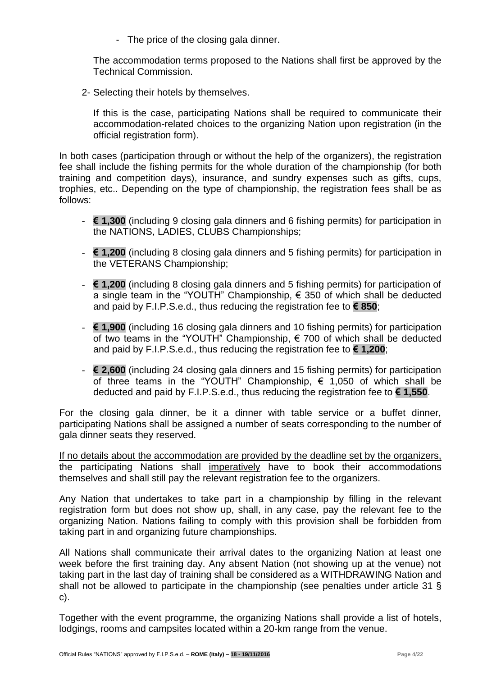- The price of the closing gala dinner.

The accommodation terms proposed to the Nations shall first be approved by the Technical Commission.

2- Selecting their hotels by themselves.

If this is the case, participating Nations shall be required to communicate their accommodation-related choices to the organizing Nation upon registration (in the official registration form).

In both cases (participation through or without the help of the organizers), the registration fee shall include the fishing permits for the whole duration of the championship (for both training and competition days), insurance, and sundry expenses such as gifts, cups, trophies, etc.. Depending on the type of championship, the registration fees shall be as follows:

- **€ 1,300** (including 9 closing gala dinners and 6 fishing permits) for participation in the NATIONS, LADIES, CLUBS Championships;
- **€ 1,200** (including 8 closing gala dinners and 5 fishing permits) for participation in the VETERANS Championship;
- **€ 1,200** (including 8 closing gala dinners and 5 fishing permits) for participation of a single team in the "YOUTH" Championship,  $\epsilon$  350 of which shall be deducted and paid by F.I.P.S.e.d., thus reducing the registration fee to **€ 850**;
- **€ 1,900** (including 16 closing gala dinners and 10 fishing permits) for participation of two teams in the "YOUTH" Championship, € 700 of which shall be deducted and paid by F.I.P.S.e.d., thus reducing the registration fee to **€ 1,200**;
- **€ 2,600** (including 24 closing gala dinners and 15 fishing permits) for participation of three teams in the "YOUTH" Championship,  $\epsilon$  1,050 of which shall be deducted and paid by F.I.P.S.e.d., thus reducing the registration fee to **€ 1,550**.

For the closing gala dinner, be it a dinner with table service or a buffet dinner, participating Nations shall be assigned a number of seats corresponding to the number of gala dinner seats they reserved.

If no details about the accommodation are provided by the deadline set by the organizers, the participating Nations shall imperatively have to book their accommodations themselves and shall still pay the relevant registration fee to the organizers.

Any Nation that undertakes to take part in a championship by filling in the relevant registration form but does not show up, shall, in any case, pay the relevant fee to the organizing Nation. Nations failing to comply with this provision shall be forbidden from taking part in and organizing future championships.

All Nations shall communicate their arrival dates to the organizing Nation at least one week before the first training day. Any absent Nation (not showing up at the venue) not taking part in the last day of training shall be considered as a WITHDRAWING Nation and shall not be allowed to participate in the championship (see penalties under article 31 § c).

Together with the event programme, the organizing Nations shall provide a list of hotels, lodgings, rooms and campsites located within a 20-km range from the venue.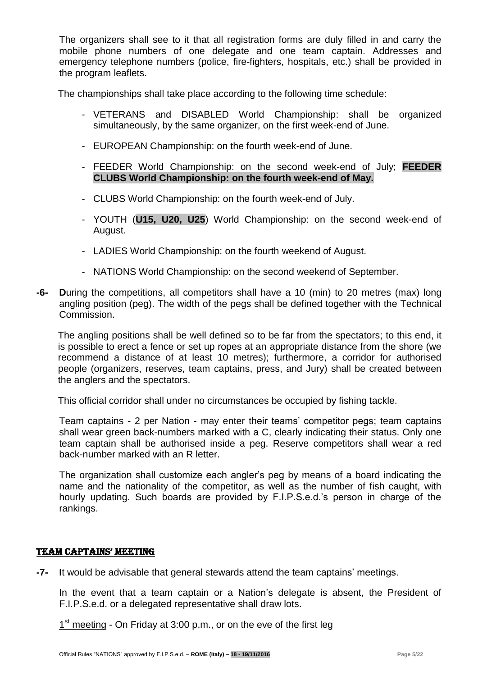The organizers shall see to it that all registration forms are duly filled in and carry the mobile phone numbers of one delegate and one team captain. Addresses and emergency telephone numbers (police, fire-fighters, hospitals, etc.) shall be provided in the program leaflets.

The championships shall take place according to the following time schedule:

- VETERANS and DISABLED World Championship: shall be organized simultaneously, by the same organizer, on the first week-end of June.
- EUROPEAN Championship: on the fourth week-end of June.
- FEEDER World Championship: on the second week-end of July; **FEEDER CLUBS World Championship: on the fourth week-end of May.**
- CLUBS World Championship: on the fourth week-end of July.
- YOUTH (**U15, U20, U25**) World Championship: on the second week-end of August.
- LADIES World Championship: on the fourth weekend of August.
- NATIONS World Championship: on the second weekend of September.
- **-6- D**uring the competitions, all competitors shall have a 10 (min) to 20 metres (max) long angling position (peg). The width of the pegs shall be defined together with the Technical Commission.

The angling positions shall be well defined so to be far from the spectators; to this end, it is possible to erect a fence or set up ropes at an appropriate distance from the shore (we recommend a distance of at least 10 metres); furthermore, a corridor for authorised people (organizers, reserves, team captains, press, and Jury) shall be created between the anglers and the spectators.

This official corridor shall under no circumstances be occupied by fishing tackle.

Team captains - 2 per Nation - may enter their teams' competitor pegs; team captains shall wear green back-numbers marked with a C, clearly indicating their status. Only one team captain shall be authorised inside a peg. Reserve competitors shall wear a red back-number marked with an R letter.

The organization shall customize each angler's peg by means of a board indicating the name and the nationality of the competitor, as well as the number of fish caught, with hourly updating. Such boards are provided by F.I.P.S.e.d.'s person in charge of the rankings.

#### TEAM CAPTAINS' MEETING

**-7- I**t would be advisable that general stewards attend the team captains' meetings.

In the event that a team captain or a Nation's delegate is absent, the President of F.I.P.S.e.d. or a delegated representative shall draw lots.

1<sup>st</sup> meeting - On Friday at 3:00 p.m., or on the eve of the first leg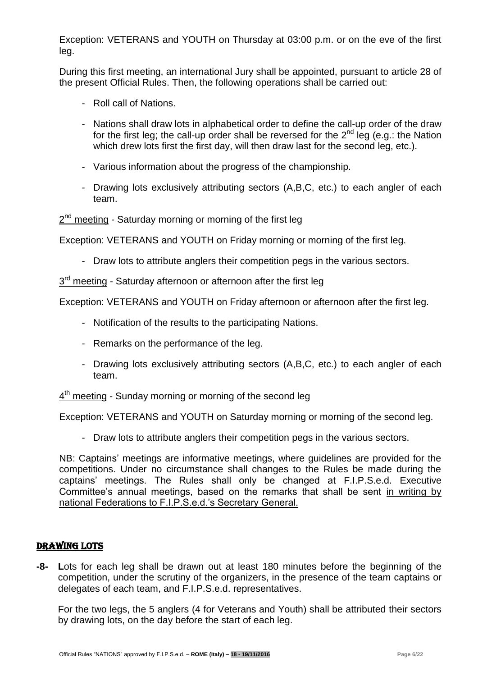Exception: VETERANS and YOUTH on Thursday at 03:00 p.m. or on the eve of the first leg.

During this first meeting, an international Jury shall be appointed, pursuant to article 28 of the present Official Rules. Then, the following operations shall be carried out:

- Roll call of Nations.
- Nations shall draw lots in alphabetical order to define the call-up order of the draw for the first leg; the call-up order shall be reversed for the  $2^{nd}$  leg (e.g.: the Nation which drew lots first the first day, will then draw last for the second leg, etc.).
- Various information about the progress of the championship.
- Drawing lots exclusively attributing sectors (A,B,C, etc.) to each angler of each team.

2<sup>nd</sup> meeting - Saturday morning or morning of the first leg

Exception: VETERANS and YOUTH on Friday morning or morning of the first leg.

- Draw lots to attribute anglers their competition pegs in the various sectors.

3<sup>rd</sup> meeting - Saturday afternoon or afternoon after the first leg

Exception: VETERANS and YOUTH on Friday afternoon or afternoon after the first leg.

- Notification of the results to the participating Nations.
- Remarks on the performance of the leg.
- Drawing lots exclusively attributing sectors (A,B,C, etc.) to each angler of each team.
- 4<sup>th</sup> meeting Sunday morning or morning of the second leg

Exception: VETERANS and YOUTH on Saturday morning or morning of the second leg.

- Draw lots to attribute anglers their competition pegs in the various sectors.

NB: Captains' meetings are informative meetings, where guidelines are provided for the competitions. Under no circumstance shall changes to the Rules be made during the captains' meetings. The Rules shall only be changed at F.I.P.S.e.d. Executive Committee's annual meetings, based on the remarks that shall be sent in writing by national Federations to F.I.P.S.e.d.'s Secretary General.

## DRAWING LOTS

**-8- L**ots for each leg shall be drawn out at least 180 minutes before the beginning of the competition, under the scrutiny of the organizers, in the presence of the team captains or delegates of each team, and F.I.P.S.e.d. representatives.

For the two legs, the 5 anglers (4 for Veterans and Youth) shall be attributed their sectors by drawing lots, on the day before the start of each leg.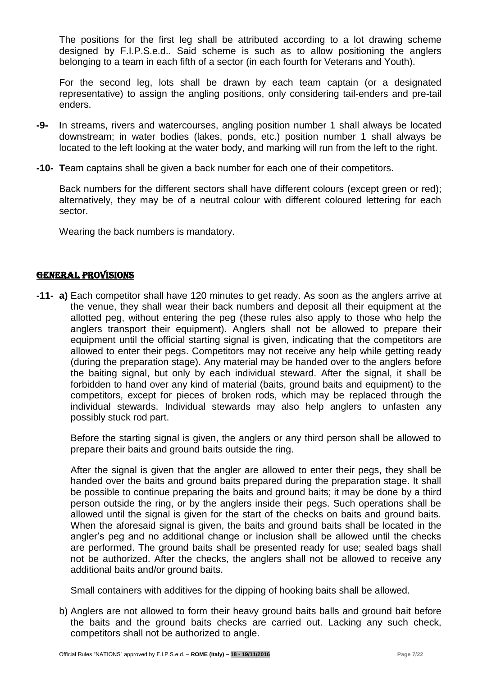The positions for the first leg shall be attributed according to a lot drawing scheme designed by F.I.P.S.e.d.. Said scheme is such as to allow positioning the anglers belonging to a team in each fifth of a sector (in each fourth for Veterans and Youth).

For the second leg, lots shall be drawn by each team captain (or a designated representative) to assign the angling positions, only considering tail-enders and pre-tail enders.

- **-9- I**n streams, rivers and watercourses, angling position number 1 shall always be located downstream; in water bodies (lakes, ponds, etc.) position number 1 shall always be located to the left looking at the water body, and marking will run from the left to the right.
- **-10- T**eam captains shall be given a back number for each one of their competitors.

Back numbers for the different sectors shall have different colours (except green or red); alternatively, they may be of a neutral colour with different coloured lettering for each sector.

Wearing the back numbers is mandatory.

## GENERAL PROVISIONS

**-11- a)** Each competitor shall have 120 minutes to get ready. As soon as the anglers arrive at the venue, they shall wear their back numbers and deposit all their equipment at the allotted peg, without entering the peg (these rules also apply to those who help the anglers transport their equipment). Anglers shall not be allowed to prepare their equipment until the official starting signal is given, indicating that the competitors are allowed to enter their pegs. Competitors may not receive any help while getting ready (during the preparation stage). Any material may be handed over to the anglers before the baiting signal, but only by each individual steward. After the signal, it shall be forbidden to hand over any kind of material (baits, ground baits and equipment) to the competitors, except for pieces of broken rods, which may be replaced through the individual stewards. Individual stewards may also help anglers to unfasten any possibly stuck rod part.

Before the starting signal is given, the anglers or any third person shall be allowed to prepare their baits and ground baits outside the ring.

After the signal is given that the angler are allowed to enter their pegs, they shall be handed over the baits and ground baits prepared during the preparation stage. It shall be possible to continue preparing the baits and ground baits; it may be done by a third person outside the ring, or by the anglers inside their pegs. Such operations shall be allowed until the signal is given for the start of the checks on baits and ground baits. When the aforesaid signal is given, the baits and ground baits shall be located in the angler's peg and no additional change or inclusion shall be allowed until the checks are performed. The ground baits shall be presented ready for use; sealed bags shall not be authorized. After the checks, the anglers shall not be allowed to receive any additional baits and/or ground baits.

Small containers with additives for the dipping of hooking baits shall be allowed.

b) Anglers are not allowed to form their heavy ground baits balls and ground bait before the baits and the ground baits checks are carried out. Lacking any such check, competitors shall not be authorized to angle.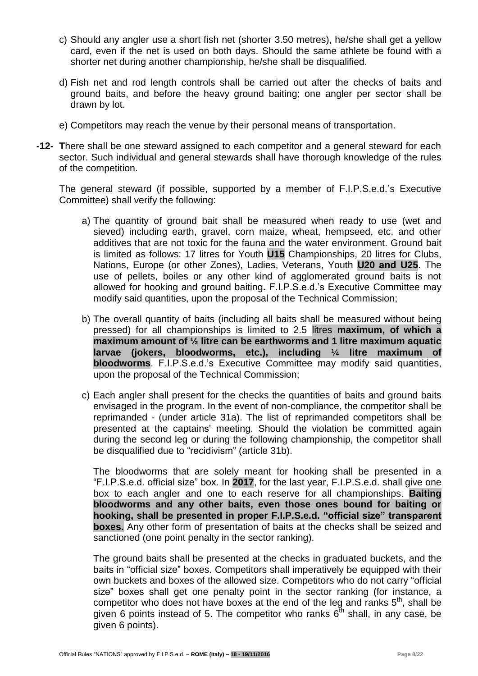- c) Should any angler use a short fish net (shorter 3.50 metres), he/she shall get a yellow card, even if the net is used on both days. Should the same athlete be found with a shorter net during another championship, he/she shall be disqualified.
- d) Fish net and rod length controls shall be carried out after the checks of baits and ground baits, and before the heavy ground baiting; one angler per sector shall be drawn by lot.
- e) Competitors may reach the venue by their personal means of transportation.
- **-12- T**here shall be one steward assigned to each competitor and a general steward for each sector. Such individual and general stewards shall have thorough knowledge of the rules of the competition.

The general steward (if possible, supported by a member of F.I.P.S.e.d.'s Executive Committee) shall verify the following:

- a) The quantity of ground bait shall be measured when ready to use (wet and sieved) including earth, gravel, corn maize, wheat, hempseed, etc. and other additives that are not toxic for the fauna and the water environment. Ground bait is limited as follows: 17 litres for Youth **U15** Championships, 20 litres for Clubs, Nations, Europe (or other Zones), Ladies, Veterans, Youth **U20 and U25**. The use of pellets, boiles or any other kind of agglomerated ground baits is not allowed for hooking and ground baiting**.** F.I.P.S.e.d.'s Executive Committee may modify said quantities, upon the proposal of the Technical Commission;
- b) The overall quantity of baits (including all baits shall be measured without being pressed) for all championships is limited to 2.5 litres **maximum, of which a maximum amount of ½ litre can be earthworms and 1 litre maximum aquatic larvae (jokers, bloodworms, etc.), including** ¼ **litre maximum of bloodworms**. F.I.P.S.e.d.'s Executive Committee may modify said quantities, upon the proposal of the Technical Commission;
- c) Each angler shall present for the checks the quantities of baits and ground baits envisaged in the program. In the event of non-compliance, the competitor shall be reprimanded - (under article 31a). The list of reprimanded competitors shall be presented at the captains' meeting. Should the violation be committed again during the second leg or during the following championship, the competitor shall be disqualified due to "recidivism" (article 31b).

The bloodworms that are solely meant for hooking shall be presented in a "F.I.P.S.e.d. official size" box. In **2017**, for the last year, F.I.P.S.e.d. shall give one box to each angler and one to each reserve for all championships. **Baiting bloodworms and any other baits, even those ones bound for baiting or hooking, shall be presented in proper F.I.P.S.e.d. "official size" transparent boxes.** Any other form of presentation of baits at the checks shall be seized and sanctioned (one point penalty in the sector ranking).

The ground baits shall be presented at the checks in graduated buckets, and the baits in "official size" boxes. Competitors shall imperatively be equipped with their own buckets and boxes of the allowed size. Competitors who do not carry "official size" boxes shall get one penalty point in the sector ranking (for instance, a competitor who does not have boxes at the end of the leg and ranks  $5<sup>th</sup>$ , shall be given 6 points instead of 5. The competitor who ranks  $6^{th}$  shall, in any case, be given 6 points).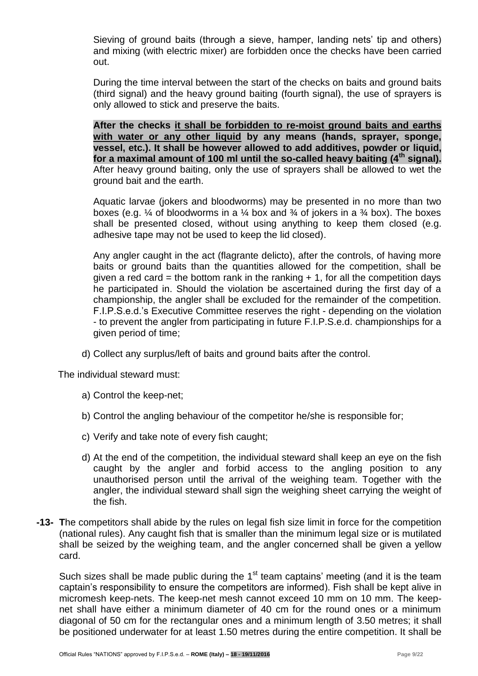Sieving of ground baits (through a sieve, hamper, landing nets' tip and others) and mixing (with electric mixer) are forbidden once the checks have been carried out.

During the time interval between the start of the checks on baits and ground baits (third signal) and the heavy ground baiting (fourth signal), the use of sprayers is only allowed to stick and preserve the baits.

**After the checks it shall be forbidden to re-moist ground baits and earths with water or any other liquid by any means (hands, sprayer, sponge, vessel, etc.). It shall be however allowed to add additives, powder or liquid, for a maximal amount of 100 ml until the so-called heavy baiting (4th signal).** After heavy ground baiting, only the use of sprayers shall be allowed to wet the ground bait and the earth.

Aquatic larvae (jokers and bloodworms) may be presented in no more than two boxes (e.g.  $\frac{1}{4}$  of bloodworms in a  $\frac{1}{4}$  box and  $\frac{3}{4}$  of jokers in a  $\frac{3}{4}$  box). The boxes shall be presented closed, without using anything to keep them closed (e.g. adhesive tape may not be used to keep the lid closed).

Any angler caught in the act (flagrante delicto), after the controls, of having more baits or ground baits than the quantities allowed for the competition, shall be given a red card = the bottom rank in the ranking  $+ 1$ , for all the competition days he participated in. Should the violation be ascertained during the first day of a championship, the angler shall be excluded for the remainder of the competition. F.I.P.S.e.d.'s Executive Committee reserves the right - depending on the violation - to prevent the angler from participating in future F.I.P.S.e.d. championships for a given period of time;

d) Collect any surplus/left of baits and ground baits after the control.

The individual steward must:

- a) Control the keep-net;
- b) Control the angling behaviour of the competitor he/she is responsible for;
- c) Verify and take note of every fish caught;
- d) At the end of the competition, the individual steward shall keep an eye on the fish caught by the angler and forbid access to the angling position to any unauthorised person until the arrival of the weighing team. Together with the angler, the individual steward shall sign the weighing sheet carrying the weight of the fish.
- **-13- T**he competitors shall abide by the rules on legal fish size limit in force for the competition (national rules). Any caught fish that is smaller than the minimum legal size or is mutilated shall be seized by the weighing team, and the angler concerned shall be given a yellow card.

Such sizes shall be made public during the  $1<sup>st</sup>$  team captains' meeting (and it is the team captain's responsibility to ensure the competitors are informed). Fish shall be kept alive in micromesh keep-nets. The keep-net mesh cannot exceed 10 mm on 10 mm. The keepnet shall have either a minimum diameter of 40 cm for the round ones or a minimum diagonal of 50 cm for the rectangular ones and a minimum length of 3.50 metres; it shall be positioned underwater for at least 1.50 metres during the entire competition. It shall be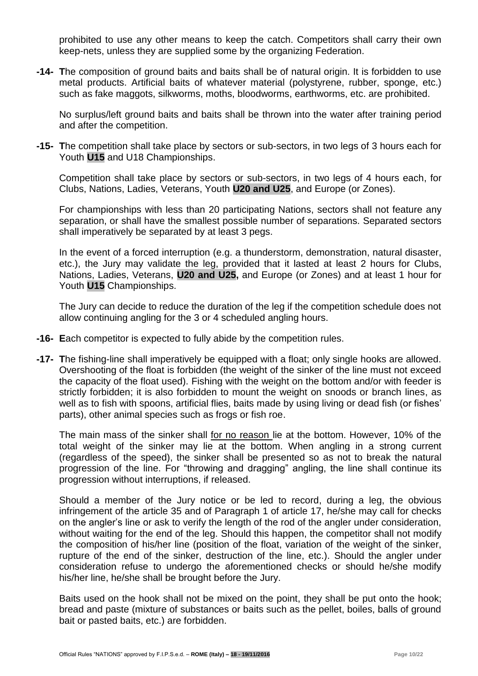prohibited to use any other means to keep the catch. Competitors shall carry their own keep-nets, unless they are supplied some by the organizing Federation.

**-14- T**he composition of ground baits and baits shall be of natural origin. It is forbidden to use metal products. Artificial baits of whatever material (polystyrene, rubber, sponge, etc.) such as fake maggots, silkworms, moths, bloodworms, earthworms, etc. are prohibited.

No surplus/left ground baits and baits shall be thrown into the water after training period and after the competition.

**-15- T**he competition shall take place by sectors or sub-sectors, in two legs of 3 hours each for Youth **U15** and U18 Championships.

Competition shall take place by sectors or sub-sectors, in two legs of 4 hours each, for Clubs, Nations, Ladies, Veterans, Youth **U20 and U25**, and Europe (or Zones).

For championships with less than 20 participating Nations, sectors shall not feature any separation, or shall have the smallest possible number of separations. Separated sectors shall imperatively be separated by at least 3 pegs.

In the event of a forced interruption (e.g. a thunderstorm, demonstration, natural disaster, etc.), the Jury may validate the leg, provided that it lasted at least 2 hours for Clubs, Nations, Ladies, Veterans, **U20 and U25,** and Europe (or Zones) and at least 1 hour for Youth **U15** Championships.

The Jury can decide to reduce the duration of the leg if the competition schedule does not allow continuing angling for the 3 or 4 scheduled angling hours.

- **-16- E**ach competitor is expected to fully abide by the competition rules.
- **-17- T**he fishing-line shall imperatively be equipped with a float; only single hooks are allowed. Overshooting of the float is forbidden (the weight of the sinker of the line must not exceed the capacity of the float used). Fishing with the weight on the bottom and/or with feeder is strictly forbidden; it is also forbidden to mount the weight on snoods or branch lines, as well as to fish with spoons, artificial flies, baits made by using living or dead fish (or fishes' parts), other animal species such as frogs or fish roe.

The main mass of the sinker shall for no reason lie at the bottom. However, 10% of the total weight of the sinker may lie at the bottom. When angling in a strong current (regardless of the speed), the sinker shall be presented so as not to break the natural progression of the line. For "throwing and dragging" angling, the line shall continue its progression without interruptions, if released.

Should a member of the Jury notice or be led to record, during a leg, the obvious infringement of the article 35 and of Paragraph 1 of article 17, he/she may call for checks on the angler's line or ask to verify the length of the rod of the angler under consideration, without waiting for the end of the leg. Should this happen, the competitor shall not modify the composition of his/her line (position of the float, variation of the weight of the sinker, rupture of the end of the sinker, destruction of the line, etc.). Should the angler under consideration refuse to undergo the aforementioned checks or should he/she modify his/her line, he/she shall be brought before the Jury.

Baits used on the hook shall not be mixed on the point, they shall be put onto the hook; bread and paste (mixture of substances or baits such as the pellet, boiles, balls of ground bait or pasted baits, etc.) are forbidden.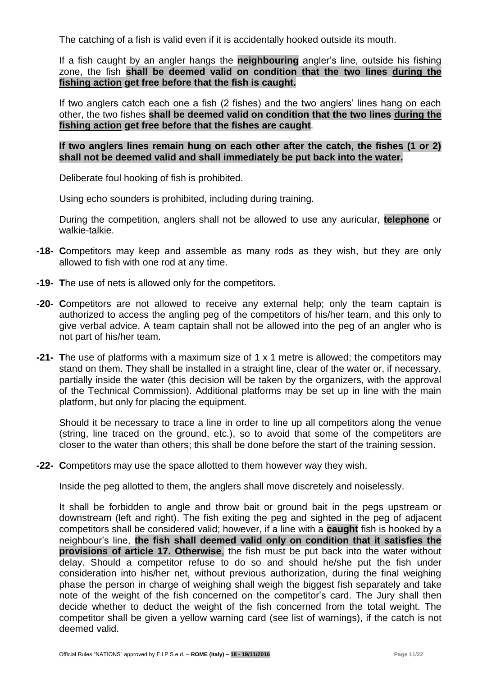The catching of a fish is valid even if it is accidentally hooked outside its mouth.

If a fish caught by an angler hangs the **neighbouring** angler's line, outside his fishing zone, the fish **shall be deemed valid on condition that the two lines during the fishing action get free before that the fish is caught.**

If two anglers catch each one a fish (2 fishes) and the two anglers' lines hang on each other, the two fishes **shall be deemed valid on condition that the two lines during the fishing action get free before that the fishes are caught**.

**If two anglers lines remain hung on each other after the catch, the fishes (1 or 2) shall not be deemed valid and shall immediately be put back into the water.**

Deliberate foul hooking of fish is prohibited.

Using echo sounders is prohibited, including during training.

During the competition, anglers shall not be allowed to use any auricular, **telephone** or walkie-talkie.

- **-18- C**ompetitors may keep and assemble as many rods as they wish, but they are only allowed to fish with one rod at any time.
- **-19- T**he use of nets is allowed only for the competitors.
- **-20- C**ompetitors are not allowed to receive any external help; only the team captain is authorized to access the angling peg of the competitors of his/her team, and this only to give verbal advice. A team captain shall not be allowed into the peg of an angler who is not part of his/her team.
- **-21- T**he use of platforms with a maximum size of 1 x 1 metre is allowed; the competitors may stand on them. They shall be installed in a straight line, clear of the water or, if necessary, partially inside the water (this decision will be taken by the organizers, with the approval of the Technical Commission). Additional platforms may be set up in line with the main platform, but only for placing the equipment.

Should it be necessary to trace a line in order to line up all competitors along the venue (string, line traced on the ground, etc.), so to avoid that some of the competitors are closer to the water than others; this shall be done before the start of the training session.

**-22- C**ompetitors may use the space allotted to them however way they wish.

Inside the peg allotted to them, the anglers shall move discretely and noiselessly.

It shall be forbidden to angle and throw bait or ground bait in the pegs upstream or downstream (left and right). The fish exiting the peg and sighted in the peg of adjacent competitors shall be considered valid; however, if a line with a **caught** fish is hooked by a neighbour's line, **the fish shall deemed valid only on condition that it satisfies the provisions of article 17. Otherwise**, the fish must be put back into the water without delay. Should a competitor refuse to do so and should he/she put the fish under consideration into his/her net, without previous authorization, during the final weighing phase the person in charge of weighing shall weigh the biggest fish separately and take note of the weight of the fish concerned on the competitor's card. The Jury shall then decide whether to deduct the weight of the fish concerned from the total weight. The competitor shall be given a yellow warning card (see list of warnings), if the catch is not deemed valid.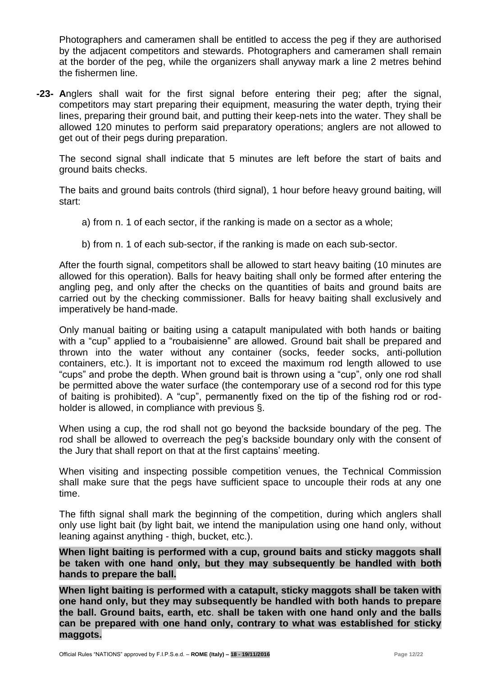Photographers and cameramen shall be entitled to access the peg if they are authorised by the adjacent competitors and stewards. Photographers and cameramen shall remain at the border of the peg, while the organizers shall anyway mark a line 2 metres behind the fishermen line.

**-23- A**nglers shall wait for the first signal before entering their peg; after the signal, competitors may start preparing their equipment, measuring the water depth, trying their lines, preparing their ground bait, and putting their keep-nets into the water. They shall be allowed 120 minutes to perform said preparatory operations; anglers are not allowed to get out of their pegs during preparation.

The second signal shall indicate that 5 minutes are left before the start of baits and ground baits checks.

The baits and ground baits controls (third signal), 1 hour before heavy ground baiting, will start:

- a) from n. 1 of each sector, if the ranking is made on a sector as a whole;
- b) from n. 1 of each sub-sector, if the ranking is made on each sub-sector.

After the fourth signal, competitors shall be allowed to start heavy baiting (10 minutes are allowed for this operation). Balls for heavy baiting shall only be formed after entering the angling peg, and only after the checks on the quantities of baits and ground baits are carried out by the checking commissioner. Balls for heavy baiting shall exclusively and imperatively be hand-made.

Only manual baiting or baiting using a catapult manipulated with both hands or baiting with a "cup" applied to a "roubaisienne" are allowed. Ground bait shall be prepared and thrown into the water without any container (socks, feeder socks, anti-pollution containers, etc.). It is important not to exceed the maximum rod length allowed to use "cups" and probe the depth. When ground bait is thrown using a "cup", only one rod shall be permitted above the water surface (the contemporary use of a second rod for this type of baiting is prohibited). A "cup", permanently fixed on the tip of the fishing rod or rodholder is allowed, in compliance with previous §.

When using a cup, the rod shall not go beyond the backside boundary of the peg. The rod shall be allowed to overreach the peg's backside boundary only with the consent of the Jury that shall report on that at the first captains' meeting.

When visiting and inspecting possible competition venues, the Technical Commission shall make sure that the pegs have sufficient space to uncouple their rods at any one time.

The fifth signal shall mark the beginning of the competition, during which anglers shall only use light bait (by light bait, we intend the manipulation using one hand only, without leaning against anything - thigh, bucket, etc.).

**When light baiting is performed with a cup, ground baits and sticky maggots shall be taken with one hand only, but they may subsequently be handled with both hands to prepare the ball.**

**When light baiting is performed with a catapult, sticky maggots shall be taken with one hand only, but they may subsequently be handled with both hands to prepare the ball. Ground baits, earth, etc**. **shall be taken with one hand only and the balls can be prepared with one hand only, contrary to what was established for sticky maggots.**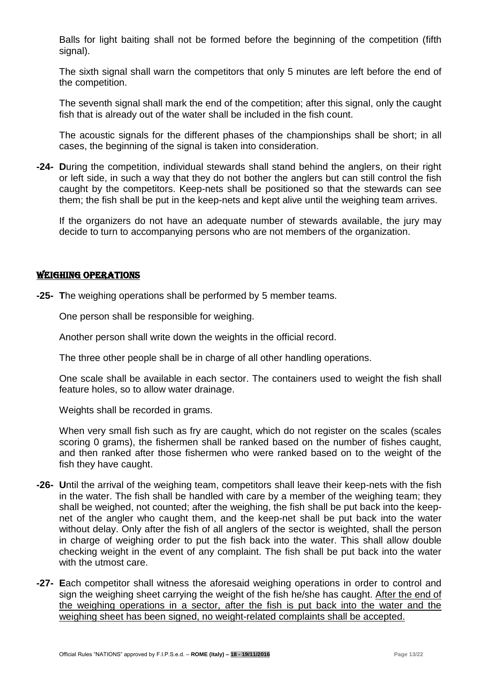Balls for light baiting shall not be formed before the beginning of the competition (fifth signal).

The sixth signal shall warn the competitors that only 5 minutes are left before the end of the competition.

The seventh signal shall mark the end of the competition; after this signal, only the caught fish that is already out of the water shall be included in the fish count.

The acoustic signals for the different phases of the championships shall be short; in all cases, the beginning of the signal is taken into consideration.

**-24- D**uring the competition, individual stewards shall stand behind the anglers, on their right or left side, in such a way that they do not bother the anglers but can still control the fish caught by the competitors. Keep-nets shall be positioned so that the stewards can see them; the fish shall be put in the keep-nets and kept alive until the weighing team arrives.

If the organizers do not have an adequate number of stewards available, the jury may decide to turn to accompanying persons who are not members of the organization.

## WEIGHING OPERATIONS

**-25- T**he weighing operations shall be performed by 5 member teams.

One person shall be responsible for weighing.

Another person shall write down the weights in the official record.

The three other people shall be in charge of all other handling operations.

One scale shall be available in each sector. The containers used to weight the fish shall feature holes, so to allow water drainage.

Weights shall be recorded in grams.

When very small fish such as fry are caught, which do not register on the scales (scales scoring 0 grams), the fishermen shall be ranked based on the number of fishes caught, and then ranked after those fishermen who were ranked based on to the weight of the fish they have caught.

- **-26- U**ntil the arrival of the weighing team, competitors shall leave their keep-nets with the fish in the water. The fish shall be handled with care by a member of the weighing team; they shall be weighed, not counted; after the weighing, the fish shall be put back into the keepnet of the angler who caught them, and the keep-net shall be put back into the water without delay. Only after the fish of all anglers of the sector is weighted, shall the person in charge of weighing order to put the fish back into the water. This shall allow double checking weight in the event of any complaint. The fish shall be put back into the water with the utmost care.
- **-27- E**ach competitor shall witness the aforesaid weighing operations in order to control and sign the weighing sheet carrying the weight of the fish he/she has caught. After the end of the weighing operations in a sector, after the fish is put back into the water and the weighing sheet has been signed, no weight-related complaints shall be accepted.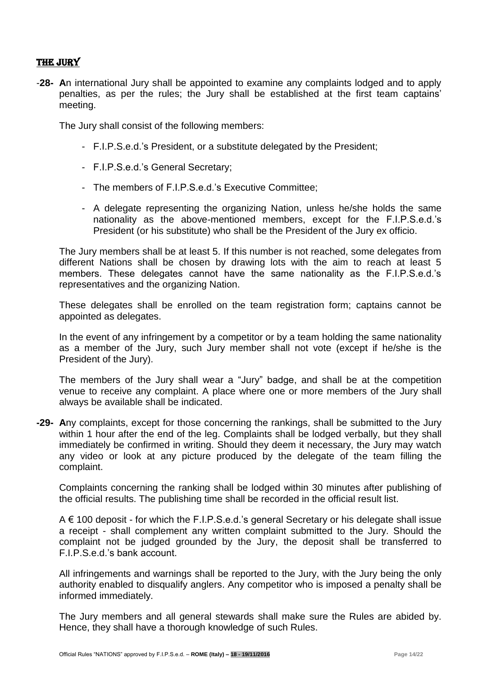## THE JURY

-**28- A**n international Jury shall be appointed to examine any complaints lodged and to apply penalties, as per the rules; the Jury shall be established at the first team captains' meeting.

The Jury shall consist of the following members:

- F.I.P.S.e.d.'s President, or a substitute delegated by the President;
- F.I.P.S.e.d.'s General Secretary;
- The members of F.I.P.S.e.d.'s Executive Committee;
- A delegate representing the organizing Nation, unless he/she holds the same nationality as the above-mentioned members, except for the F.I.P.S.e.d.'s President (or his substitute) who shall be the President of the Jury ex officio.

The Jury members shall be at least 5. If this number is not reached, some delegates from different Nations shall be chosen by drawing lots with the aim to reach at least 5 members. These delegates cannot have the same nationality as the F.I.P.S.e.d.'s representatives and the organizing Nation.

These delegates shall be enrolled on the team registration form; captains cannot be appointed as delegates.

In the event of any infringement by a competitor or by a team holding the same nationality as a member of the Jury, such Jury member shall not vote (except if he/she is the President of the Jury).

The members of the Jury shall wear a "Jury" badge, and shall be at the competition venue to receive any complaint. A place where one or more members of the Jury shall always be available shall be indicated.

**-29- A**ny complaints, except for those concerning the rankings, shall be submitted to the Jury within 1 hour after the end of the leg. Complaints shall be lodged verbally, but they shall immediately be confirmed in writing. Should they deem it necessary, the Jury may watch any video or look at any picture produced by the delegate of the team filling the complaint.

Complaints concerning the ranking shall be lodged within 30 minutes after publishing of the official results. The publishing time shall be recorded in the official result list.

A € 100 deposit - for which the F.I.P.S.e.d.'s general Secretary or his delegate shall issue a receipt - shall complement any written complaint submitted to the Jury. Should the complaint not be judged grounded by the Jury, the deposit shall be transferred to F.I.P.S.e.d.'s bank account.

All infringements and warnings shall be reported to the Jury, with the Jury being the only authority enabled to disqualify anglers. Any competitor who is imposed a penalty shall be informed immediately.

The Jury members and all general stewards shall make sure the Rules are abided by. Hence, they shall have a thorough knowledge of such Rules.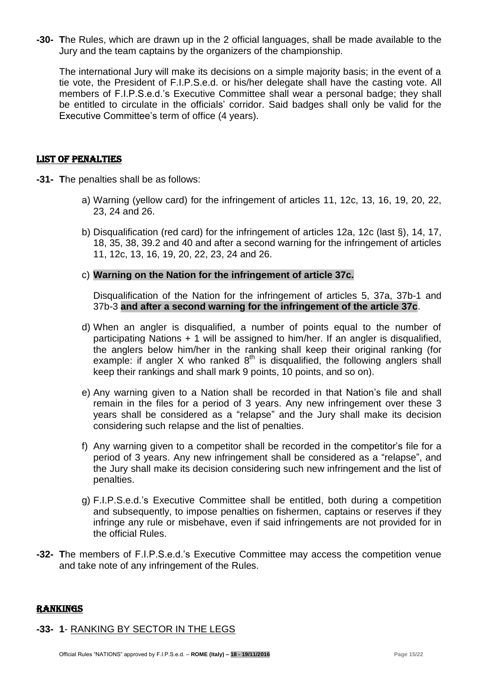**-30- T**he Rules, which are drawn up in the 2 official languages, shall be made available to the Jury and the team captains by the organizers of the championship.

The international Jury will make its decisions on a simple majority basis; in the event of a tie vote, the President of F.I.P.S.e.d. or his/her delegate shall have the casting vote. All members of F.I.P.S.e.d.'s Executive Committee shall wear a personal badge; they shall be entitled to circulate in the officials' corridor. Said badges shall only be valid for the Executive Committee's term of office (4 years).

## LIST OF PENALTIES

- **-31- T**he penalties shall be as follows:
	- a) Warning (yellow card) for the infringement of articles 11, 12c, 13, 16, 19, 20, 22, 23, 24 and 26.
	- b) Disqualification (red card) for the infringement of articles 12a, 12c (last §), 14, 17, 18, 35, 38, 39.2 and 40 and after a second warning for the infringement of articles 11, 12c, 13, 16, 19, 20, 22, 23, 24 and 26.
	- c) **Warning on the Nation for the infringement of article 37c.**

Disqualification of the Nation for the infringement of articles 5, 37a, 37b-1 and 37b-3 **and after a second warning for the infringement of the article 37c**.

- d) When an angler is disqualified, a number of points equal to the number of participating Nations + 1 will be assigned to him/her. If an angler is disqualified, the anglers below him/her in the ranking shall keep their original ranking (for example: if angler X who ranked  $8<sup>th</sup>$  is disqualified, the following anglers shall keep their rankings and shall mark 9 points, 10 points, and so on).
- e) Any warning given to a Nation shall be recorded in that Nation's file and shall remain in the files for a period of 3 years. Any new infringement over these 3 years shall be considered as a "relapse" and the Jury shall make its decision considering such relapse and the list of penalties.
- f) Any warning given to a competitor shall be recorded in the competitor's file for a period of 3 years. Any new infringement shall be considered as a "relapse", and the Jury shall make its decision considering such new infringement and the list of penalties.
- g) F.I.P.S.e.d.'s Executive Committee shall be entitled, both during a competition and subsequently, to impose penalties on fishermen, captains or reserves if they infringe any rule or misbehave, even if said infringements are not provided for in the official Rules.
- **-32- T**he members of F.I.P.S.e.d.'s Executive Committee may access the competition venue and take note of any infringement of the Rules.

#### rankings

## **-33- 1**- RANKING BY SECTOR IN THE LEGS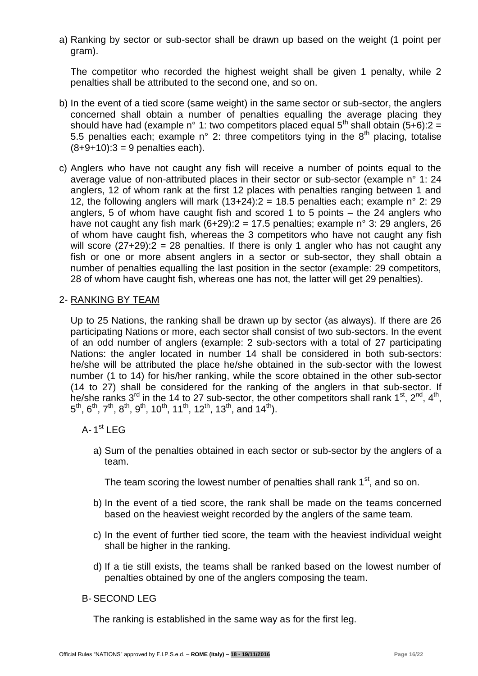a) Ranking by sector or sub-sector shall be drawn up based on the weight (1 point per gram).

The competitor who recorded the highest weight shall be given 1 penalty, while 2 penalties shall be attributed to the second one, and so on.

- b) In the event of a tied score (same weight) in the same sector or sub-sector, the anglers concerned shall obtain a number of penalties equalling the average placing they should have had (example n° 1: two competitors placed equal  $5<sup>th</sup>$  shall obtain (5+6):2 = 5.5 penalties each; example n° 2: three competitors tying in the  $8<sup>th</sup>$  placing, totalise  $(8+9+10):3 = 9$  penalties each).
- c) Anglers who have not caught any fish will receive a number of points equal to the average value of non-attributed places in their sector or sub-sector (example n° 1: 24 anglers, 12 of whom rank at the first 12 places with penalties ranging between 1 and 12, the following anglers will mark  $(13+24):2 = 18.5$  penalties each; example n° 2: 29 anglers, 5 of whom have caught fish and scored 1 to 5 points – the 24 anglers who have not caught any fish mark  $(6+29)$ :  $2 = 17.5$  penalties; example n° 3: 29 anglers, 26 of whom have caught fish, whereas the 3 competitors who have not caught any fish will score  $(27+29)$ :  $2 = 28$  penalties. If there is only 1 angler who has not caught any fish or one or more absent anglers in a sector or sub-sector, they shall obtain a number of penalties equalling the last position in the sector (example: 29 competitors, 28 of whom have caught fish, whereas one has not, the latter will get 29 penalties).

## 2- RANKING BY TEAM

Up to 25 Nations, the ranking shall be drawn up by sector (as always). If there are 26 participating Nations or more, each sector shall consist of two sub-sectors. In the event of an odd number of anglers (example: 2 sub-sectors with a total of 27 participating Nations: the angler located in number 14 shall be considered in both sub-sectors: he/she will be attributed the place he/she obtained in the sub-sector with the lowest number (1 to 14) for his/her ranking, while the score obtained in the other sub-sector (14 to 27) shall be considered for the ranking of the anglers in that sub-sector. If he/she ranks 3<sup>rd</sup> in the 14 to 27 sub-sector, the other competitors shall rank 1<sup>st</sup>, 2<sup>nd</sup>, 4<sup>th</sup>,  $5^{\text{th}}$ ,  $6^{\text{th}}$ ,  $7^{\text{th}}$ ,  $8^{\text{th}}$ ,  $9^{\text{th}}$ ,  $10^{\text{th}}$ ,  $11^{\text{th}}$ ,  $12^{\text{th}}$ ,  $13^{\text{th}}$ , and  $14^{\text{th}}$ ).

A-1<sup>st</sup> LEG

a) Sum of the penalties obtained in each sector or sub-sector by the anglers of a team.

The team scoring the lowest number of penalties shall rank 1<sup>st</sup>, and so on.

- b) In the event of a tied score, the rank shall be made on the teams concerned based on the heaviest weight recorded by the anglers of the same team.
- c) In the event of further tied score, the team with the heaviest individual weight shall be higher in the ranking.
- d) If a tie still exists, the teams shall be ranked based on the lowest number of penalties obtained by one of the anglers composing the team.

## B- SECOND LEG

The ranking is established in the same way as for the first leg.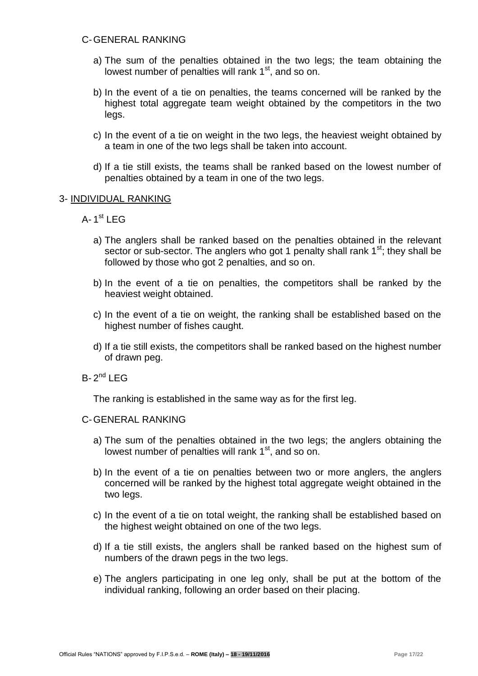## C-GENERAL RANKING

- a) The sum of the penalties obtained in the two legs; the team obtaining the lowest number of penalties will rank  $1<sup>st</sup>$ , and so on.
- b) In the event of a tie on penalties, the teams concerned will be ranked by the highest total aggregate team weight obtained by the competitors in the two legs.
- c) In the event of a tie on weight in the two legs, the heaviest weight obtained by a team in one of the two legs shall be taken into account.
- d) If a tie still exists, the teams shall be ranked based on the lowest number of penalties obtained by a team in one of the two legs.

#### 3- INDIVIDUAL RANKING

- A-1<sup>st</sup> LEG
	- a) The anglers shall be ranked based on the penalties obtained in the relevant sector or sub-sector. The anglers who got 1 penalty shall rank  $1<sup>st</sup>$ ; they shall be followed by those who got 2 penalties, and so on.
	- b) In the event of a tie on penalties, the competitors shall be ranked by the heaviest weight obtained.
	- c) In the event of a tie on weight, the ranking shall be established based on the highest number of fishes caught.
	- d) If a tie still exists, the competitors shall be ranked based on the highest number of drawn peg.
- $B-2^{nd}$  LEG

The ranking is established in the same way as for the first leg.

#### C-GENERAL RANKING

- a) The sum of the penalties obtained in the two legs; the anglers obtaining the lowest number of penalties will rank  $1<sup>st</sup>$ , and so on.
- b) In the event of a tie on penalties between two or more anglers, the anglers concerned will be ranked by the highest total aggregate weight obtained in the two legs.
- c) In the event of a tie on total weight, the ranking shall be established based on the highest weight obtained on one of the two legs.
- d) If a tie still exists, the anglers shall be ranked based on the highest sum of numbers of the drawn pegs in the two legs.
- e) The anglers participating in one leg only, shall be put at the bottom of the individual ranking, following an order based on their placing.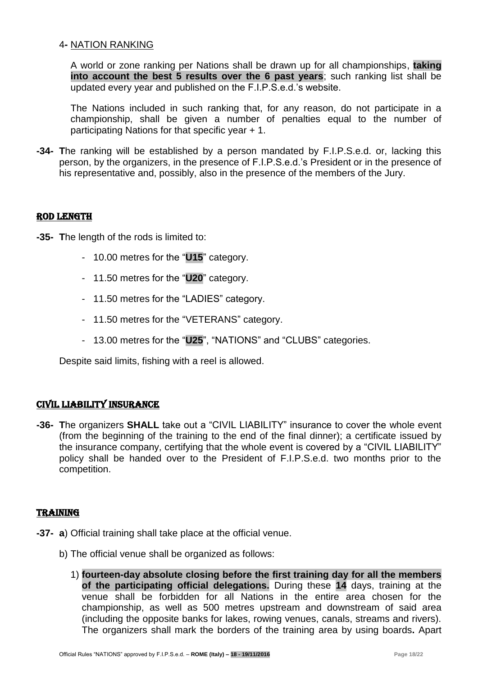## 4**-** NATION RANKING

A world or zone ranking per Nations shall be drawn up for all championships, **taking into account the best 5 results over the 6 past years**; such ranking list shall be updated every year and published on the F.I.P.S.e.d.'s website.

The Nations included in such ranking that, for any reason, do not participate in a championship, shall be given a number of penalties equal to the number of participating Nations for that specific year + 1.

**-34- T**he ranking will be established by a person mandated by F.I.P.S.e.d. or, lacking this person, by the organizers, in the presence of F.I.P.S.e.d.'s President or in the presence of his representative and, possibly, also in the presence of the members of the Jury.

## ROD LENGTH

- **-35- T**he length of the rods is limited to:
	- 10.00 metres for the "**U15**" category.
	- 11.50 metres for the "**U20**" category.
	- 11.50 metres for the "LADIES" category.
	- 11.50 metres for the "VETERANS" category.
	- 13.00 metres for the "**U25**", "NATIONS" and "CLUBS" categories.

Despite said limits, fishing with a reel is allowed.

## CIVIL LIABILITY INSURANCE

**-36- T**he organizers **SHALL** take out a "CIVIL LIABILITY" insurance to cover the whole event (from the beginning of the training to the end of the final dinner); a certificate issued by the insurance company, certifying that the whole event is covered by a "CIVIL LIABILITY" policy shall be handed over to the President of F.I.P.S.e.d. two months prior to the competition.

#### TRAINING

- **-37- a**) Official training shall take place at the official venue.
	- b) The official venue shall be organized as follows:
		- 1) **fourteen-day absolute closing before the first training day for all the members of the participating official delegations.** During these **14** days, training at the venue shall be forbidden for all Nations in the entire area chosen for the championship, as well as 500 metres upstream and downstream of said area (including the opposite banks for lakes, rowing venues, canals, streams and rivers). The organizers shall mark the borders of the training area by using boards**.** Apart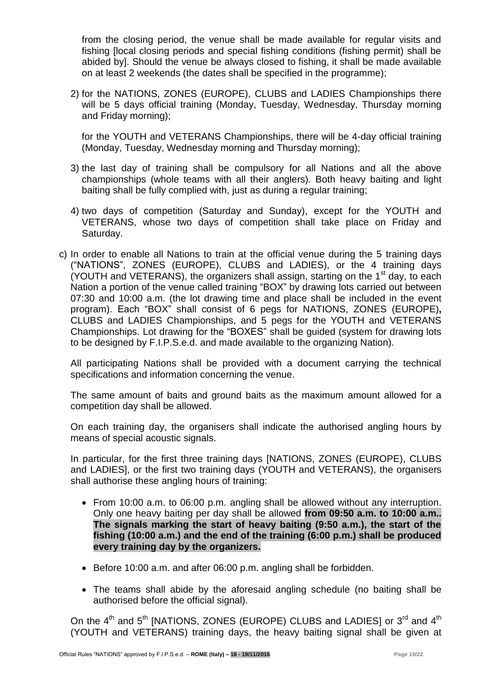from the closing period, the venue shall be made available for regular visits and fishing [local closing periods and special fishing conditions (fishing permit) shall be abided by]. Should the venue be always closed to fishing, it shall be made available on at least 2 weekends (the dates shall be specified in the programme);

2) for the NATIONS, ZONES (EUROPE), CLUBS and LADIES Championships there will be 5 days official training (Monday, Tuesday, Wednesday, Thursday morning and Friday morning);

for the YOUTH and VETERANS Championships, there will be 4-day official training (Monday, Tuesday, Wednesday morning and Thursday morning);

- 3) the last day of training shall be compulsory for all Nations and all the above championships (whole teams with all their anglers). Both heavy baiting and light baiting shall be fully complied with, just as during a regular training;
- 4) two days of competition (Saturday and Sunday), except for the YOUTH and VETERANS, whose two days of competition shall take place on Friday and Saturday.
- c) In order to enable all Nations to train at the official venue during the 5 training days ("NATIONS", ZONES (EUROPE), CLUBS and LADIES), or the 4 training days (YOUTH and VETERANS), the organizers shall assign, starting on the  $1<sup>st</sup>$  day, to each Nation a portion of the venue called training "BOX" by drawing lots carried out between 07:30 and 10:00 a.m. (the lot drawing time and place shall be included in the event program). Each "BOX" shall consist of 6 pegs for NATIONS, ZONES (EUROPE)**,**  CLUBS and LADIES Championships, and 5 pegs for the YOUTH and VETERANS Championships. Lot drawing for the "BOXES" shall be guided (system for drawing lots to be designed by F.I.P.S.e.d. and made available to the organizing Nation).

All participating Nations shall be provided with a document carrying the technical specifications and information concerning the venue.

The same amount of baits and ground baits as the maximum amount allowed for a competition day shall be allowed.

On each training day, the organisers shall indicate the authorised angling hours by means of special acoustic signals.

In particular, for the first three training days [NATIONS, ZONES (EUROPE), CLUBS and LADIES], or the first two training days (YOUTH and VETERANS), the organisers shall authorise these angling hours of training:

- From 10:00 a.m. to 06:00 p.m. angling shall be allowed without any interruption. Only one heavy baiting per day shall be allowed **from 09:50 a.m. to 10:00 a.m.. The signals marking the start of heavy baiting (9:50 a.m.), the start of the fishing (10:00 a.m.) and the end of the training (6:00 p.m.) shall be produced every training day by the organizers.**
- Before 10:00 a.m. and after 06:00 p.m. angling shall be forbidden.
- The teams shall abide by the aforesaid angling schedule (no baiting shall be authorised before the official signal).

On the  $4^{\text{th}}$  and  $5^{\text{th}}$  [NATIONS, ZONES (EUROPE) CLUBS and LADIES] or  $3^{\text{rd}}$  and  $4^{\text{th}}$ (YOUTH and VETERANS) training days, the heavy baiting signal shall be given at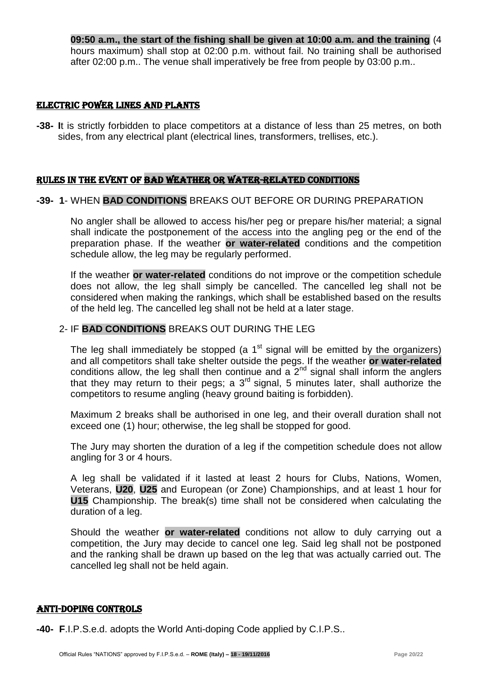**09:50 a.m., the start of the fishing shall be given at 10:00 a.m. and the training** (4 hours maximum) shall stop at 02:00 p.m. without fail. No training shall be authorised after 02:00 p.m.. The venue shall imperatively be free from people by 03:00 p.m..

### ELECTRIC POWER LINES AND PLANTS

**-38- I**t is strictly forbidden to place competitors at a distance of less than 25 metres, on both sides, from any electrical plant (electrical lines, transformers, trellises, etc.).

## RULES IN the event OF BAD WEATHER OR WATER-RELATED CONDITIONS

## **-39- 1**- WHEN **BAD CONDITIONS** BREAKS OUT BEFORE OR DURING PREPARATION

No angler shall be allowed to access his/her peg or prepare his/her material; a signal shall indicate the postponement of the access into the angling peg or the end of the preparation phase. If the weather **or water-related** conditions and the competition schedule allow, the leg may be regularly performed.

If the weather **or water-related** conditions do not improve or the competition schedule does not allow, the leg shall simply be cancelled. The cancelled leg shall not be considered when making the rankings, which shall be established based on the results of the held leg. The cancelled leg shall not be held at a later stage.

## 2- IF **BAD CONDITIONS** BREAKS OUT DURING THE LEG

The leg shall immediately be stopped (a  $1<sup>st</sup>$  signal will be emitted by the organizers) and all competitors shall take shelter outside the pegs. If the weather **or water-related** conditions allow, the leg shall then continue and a  $2^{nd}$  signal shall inform the anglers that they may return to their pegs; a  $3<sup>rd</sup>$  signal, 5 minutes later, shall authorize the competitors to resume angling (heavy ground baiting is forbidden).

Maximum 2 breaks shall be authorised in one leg, and their overall duration shall not exceed one (1) hour; otherwise, the leg shall be stopped for good.

The Jury may shorten the duration of a leg if the competition schedule does not allow angling for 3 or 4 hours.

A leg shall be validated if it lasted at least 2 hours for Clubs, Nations, Women, Veterans, **U20**, **U25** and European (or Zone) Championships, and at least 1 hour for **U15** Championship. The break(s) time shall not be considered when calculating the duration of a leg.

Should the weather **or water-related** conditions not allow to duly carrying out a competition, the Jury may decide to cancel one leg. Said leg shall not be postponed and the ranking shall be drawn up based on the leg that was actually carried out. The cancelled leg shall not be held again.

## ANTI-DOPING CONTROLS

**-40- F**.I.P.S.e.d. adopts the World Anti-doping Code applied by C.I.P.S..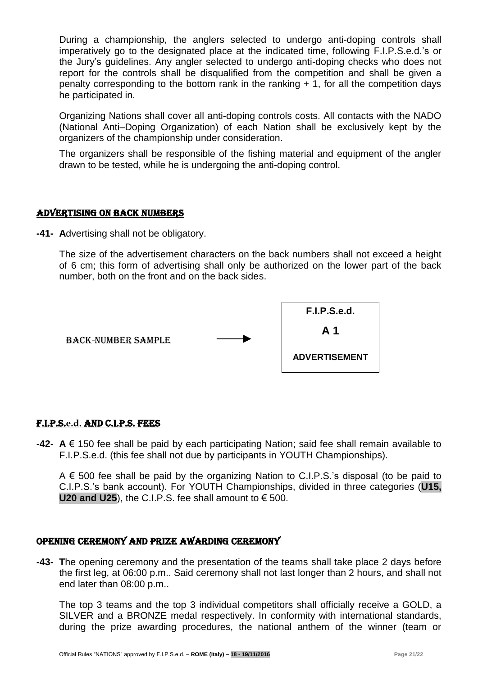During a championship, the anglers selected to undergo anti-doping controls shall imperatively go to the designated place at the indicated time, following F.I.P.S.e.d.'s or the Jury's guidelines. Any angler selected to undergo anti-doping checks who does not report for the controls shall be disqualified from the competition and shall be given a penalty corresponding to the bottom rank in the ranking + 1, for all the competition days he participated in.

Organizing Nations shall cover all anti-doping controls costs. All contacts with the NADO (National Anti–Doping Organization) of each Nation shall be exclusively kept by the organizers of the championship under consideration.

The organizers shall be responsible of the fishing material and equipment of the angler drawn to be tested, while he is undergoing the anti-doping control.

## ADVERTISING ON BACK NUMBERS

**-41- A**dvertising shall not be obligatory.

The size of the advertisement characters on the back numbers shall not exceed a height of 6 cm; this form of advertising shall only be authorized on the lower part of the back number, both on the front and on the back sides.



## F.I.P.S.**e.d.** AND C.I.P.S. fees

**-42- A** € 150 fee shall be paid by each participating Nation; said fee shall remain available to F.I.P.S.e.d. (this fee shall not due by participants in YOUTH Championships).

 $A \in 500$  fee shall be paid by the organizing Nation to C.I.P.S.'s disposal (to be paid to C.I.P.S.'s bank account). For YOUTH Championships, divided in three categories (**U15, U20 and U25**), the C.I.P.S. fee shall amount to  $\epsilon$  500.

#### OPENING CEREMONY AND PRIZE AWARDING CEREMONY

**-43- T**he opening ceremony and the presentation of the teams shall take place 2 days before the first leg, at 06:00 p.m.. Said ceremony shall not last longer than 2 hours, and shall not end later than 08:00 p.m..

The top 3 teams and the top 3 individual competitors shall officially receive a GOLD, a SILVER and a BRONZE medal respectively. In conformity with international standards, during the prize awarding procedures, the national anthem of the winner (team or